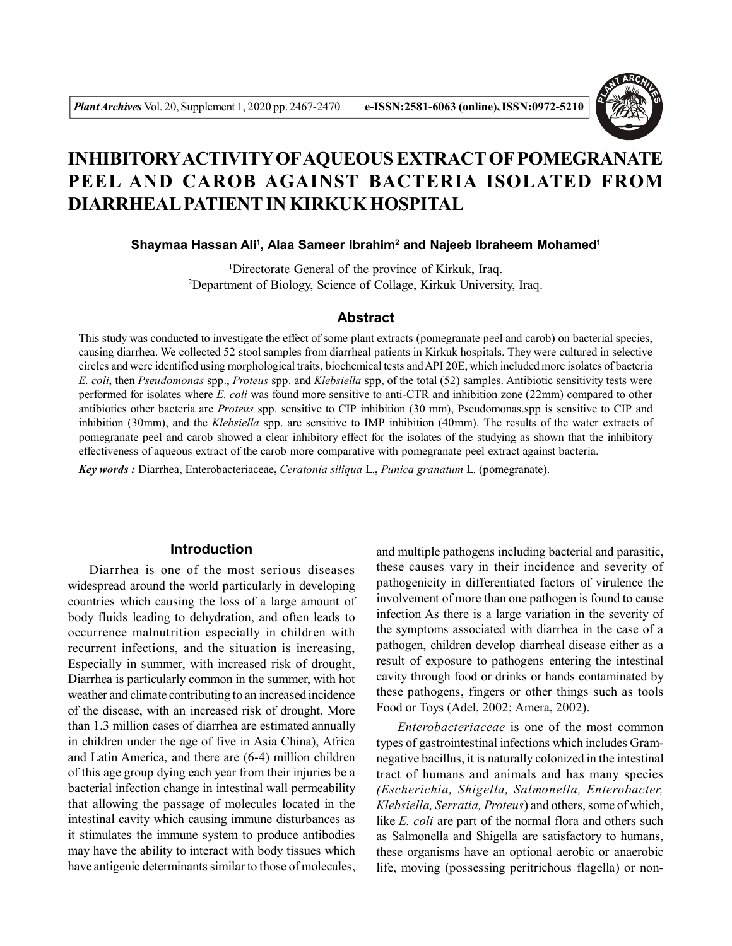

# **INHIBITORYACTIVITY OFAQUEOUS EXTRACT OF POMEGRANATE PEEL AND CAROB AGAINST BACTERIA ISOLATED FROM DIARRHEAL PATIENT IN KIRKUK HOSPITAL**

**Shaymaa Hassan Ali<sup>1</sup> , Alaa Sameer Ibrahim<sup>2</sup> and Najeeb Ibraheem Mohamed<sup>1</sup>**

<sup>1</sup>Directorate General of the province of Kirkuk, Iraq. <sup>2</sup>Department of Biology, Science of Collage, Kirkuk University, Iraq.

#### **Abstract**

This study was conducted to investigate the effect of some plant extracts (pomegranate peel and carob) on bacterial species, causing diarrhea. We collected 52 stool samples from diarrheal patients in Kirkuk hospitals. They were cultured in selective circles and were identified using morphological traits, biochemical tests and API 20E, which included more isolates of bacteria *E. coli*, then *Pseudomonas* spp., *Proteus* spp. and *Klebsiella* spp, of the total (52) samples. Antibiotic sensitivity tests were performed for isolates where *E. coli* was found more sensitive to anti-CTR and inhibition zone (22mm) compared to other antibiotics other bacteria are *Proteus* spp. sensitive to CIP inhibition (30 mm), Pseudomonas.spp is sensitive to CIP and inhibition (30mm), and the *Klebsiella* spp. are sensitive to IMP inhibition (40mm). The results of the water extracts of pomegranate peel and carob showed a clear inhibitory effect for the isolates of the studying as shown that the inhibitory effectiveness of aqueous extract of the carob more comparative with pomegranate peel extract against bacteria.

*Key words :* Diarrhea, Enterobacteriaceae**,** *Ceratonia siliqua* L.**,** *Punica granatum* L. (pomegranate).

#### **Introduction**

Diarrhea is one of the most serious diseases widespread around the world particularly in developing countries which causing the loss of a large amount of body fluids leading to dehydration, and often leads to occurrence malnutrition especially in children with recurrent infections, and the situation is increasing, Especially in summer, with increased risk of drought, Diarrhea is particularly common in the summer, with hot weather and climate contributing to an increased incidence of the disease, with an increased risk of drought. More than 1.3 million cases of diarrhea are estimated annually in children under the age of five in Asia China), Africa and Latin America, and there are (6-4) million children of this age group dying each year from their injuries be a bacterial infection change in intestinal wall permeability that allowing the passage of molecules located in the intestinal cavity which causing immune disturbances as it stimulates the immune system to produce antibodies may have the ability to interact with body tissues which have antigenic determinants similar to those of molecules,

and multiple pathogens including bacterial and parasitic, these causes vary in their incidence and severity of pathogenicity in differentiated factors of virulence the involvement of more than one pathogen is found to cause infection As there is a large variation in the severity of the symptoms associated with diarrhea in the case of a pathogen, children develop diarrheal disease either as a result of exposure to pathogens entering the intestinal cavity through food or drinks or hands contaminated by these pathogens, fingers or other things such as tools Food or Toys (Adel, 2002; Amera, 2002).

*Enterobacteriaceae* is one of the most common types of gastrointestinal infections which includes Gramnegative bacillus, it is naturally colonized in the intestinal tract of humans and animals and has many species *(Escherichia, Shigella, Salmonella, Enterobacter, Klebsiella, Serratia, Proteus*) and others, some of which, like *E. coli* are part of the normal flora and others such as Salmonella and Shigella are satisfactory to humans, these organisms have an optional aerobic or anaerobic life, moving (possessing peritrichous flagella) or non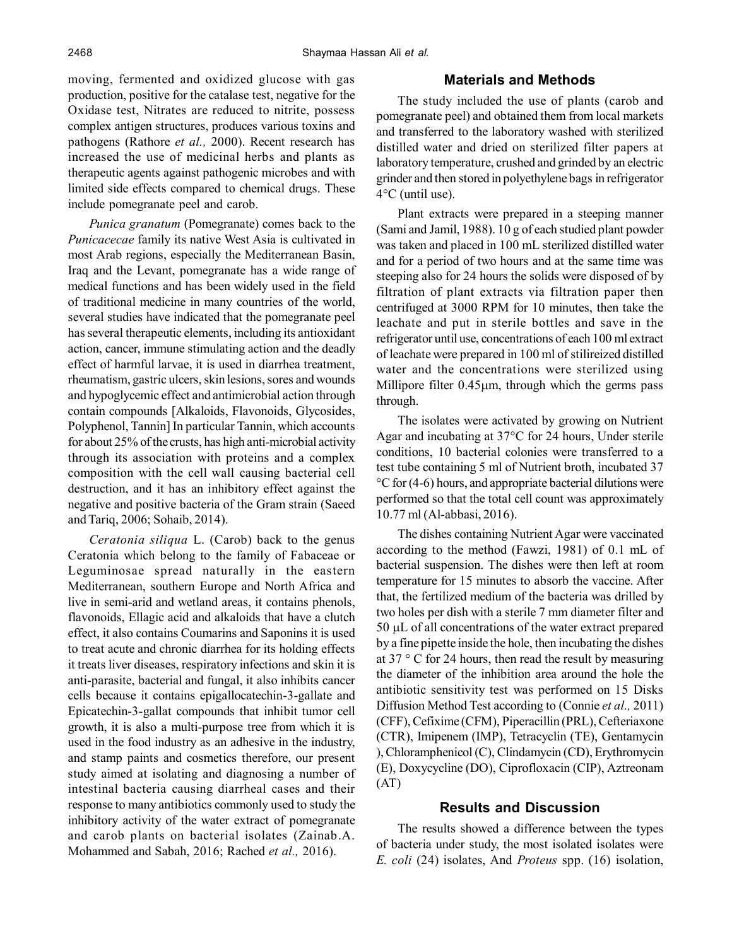moving, fermented and oxidized glucose with gas production, positive for the catalase test, negative for the Oxidase test, Nitrates are reduced to nitrite, possess complex antigen structures, produces various toxins and pathogens (Rathore *et al.,* 2000). Recent research has increased the use of medicinal herbs and plants as therapeutic agents against pathogenic microbes and with limited side effects compared to chemical drugs. These include pomegranate peel and carob.

*Punica granatum* (Pomegranate) comes back to the *Punicacecae* family its native West Asia is cultivated in most Arab regions, especially the Mediterranean Basin, Iraq and the Levant, pomegranate has a wide range of medical functions and has been widely used in the field of traditional medicine in many countries of the world, several studies have indicated that the pomegranate peel has several therapeutic elements, including its antioxidant action, cancer, immune stimulating action and the deadly effect of harmful larvae, it is used in diarrhea treatment, rheumatism, gastric ulcers, skin lesions, sores and wounds and hypoglycemic effect and antimicrobial action through contain compounds [Alkaloids, Flavonoids, Glycosides, Polyphenol, Tannin] In particular Tannin, which accounts for about 25% of the crusts, has high anti-microbial activity through its association with proteins and a complex composition with the cell wall causing bacterial cell destruction, and it has an inhibitory effect against the negative and positive bacteria of the Gram strain (Saeed and Tariq, 2006; Sohaib, 2014).

*Ceratonia siliqua* L. (Carob) back to the genus Ceratonia which belong to the family of Fabaceae or Leguminosae spread naturally in the eastern Mediterranean, southern Europe and North Africa and live in semi-arid and wetland areas, it contains phenols, flavonoids, Ellagic acid and alkaloids that have a clutch effect, it also contains Coumarins and Saponins it is used to treat acute and chronic diarrhea for its holding effects it treats liver diseases, respiratory infections and skin it is anti-parasite, bacterial and fungal, it also inhibits cancer cells because it contains epigallocatechin-3-gallate and Epicatechin-3-gallat compounds that inhibit tumor cell growth, it is also a multi-purpose tree from which it is used in the food industry as an adhesive in the industry, and stamp paints and cosmetics therefore, our present study aimed at isolating and diagnosing a number of intestinal bacteria causing diarrheal cases and their response to many antibiotics commonly used to study the inhibitory activity of the water extract of pomegranate and carob plants on bacterial isolates (Zainab.A. Mohammed and Sabah, 2016; Rached *et al.,* 2016).

## **Materials and Methods**

The study included the use of plants (carob and pomegranate peel) and obtained them from local markets and transferred to the laboratory washed with sterilized distilled water and dried on sterilized filter papers at laboratory temperature, crushed and grinded by an electric grinder and then stored in polyethylene bags in refrigerator 4°C (until use).

Plant extracts were prepared in a steeping manner (Sami and Jamil, 1988). 10 g of each studied plant powder was taken and placed in 100 mL sterilized distilled water and for a period of two hours and at the same time was steeping also for 24 hours the solids were disposed of by filtration of plant extracts via filtration paper then centrifuged at 3000 RPM for 10 minutes, then take the leachate and put in sterile bottles and save in the refrigerator until use, concentrations of each 100 ml extract of leachate were prepared in 100 ml of stilireized distilled water and the concentrations were sterilized using Millipore filter  $0.45\mu$ m, through which the germs pass through.

The isolates were activated by growing on Nutrient Agar and incubating at 37°C for 24 hours, Under sterile conditions, 10 bacterial colonies were transferred to a test tube containing 5 ml of Nutrient broth, incubated 37 °C for (4-6) hours, and appropriate bacterial dilutions were performed so that the total cell count was approximately 10.77 ml (Al-abbasi, 2016).

The dishes containing Nutrient Agar were vaccinated according to the method (Fawzi, 1981) of 0.1 mL of bacterial suspension. The dishes were then left at room temperature for 15 minutes to absorb the vaccine. After that, the fertilized medium of the bacteria was drilled by two holes per dish with a sterile 7 mm diameter filter and  $50 \mu L$  of all concentrations of the water extract prepared by a fine pipette inside the hole, then incubating the dishes at  $37 \degree$  C for 24 hours, then read the result by measuring the diameter of the inhibition area around the hole the antibiotic sensitivity test was performed on 15 Disks Diffusion Method Test according to (Connie *et al.,* 2011) (CFF), Cefixime (CFM), Piperacillin (PRL), Cefteriaxone (CTR), Imipenem (IMP), Tetracyclin (TE), Gentamycin ), Chloramphenicol (C), Clindamycin (CD), Erythromycin (E), Doxycycline (DO), Ciprofloxacin (CIP), Aztreonam (AT)

### **Results and Discussion**

The results showed a difference between the types of bacteria under study, the most isolated isolates were *E. coli* (24) isolates, And *Proteus* spp. (16) isolation,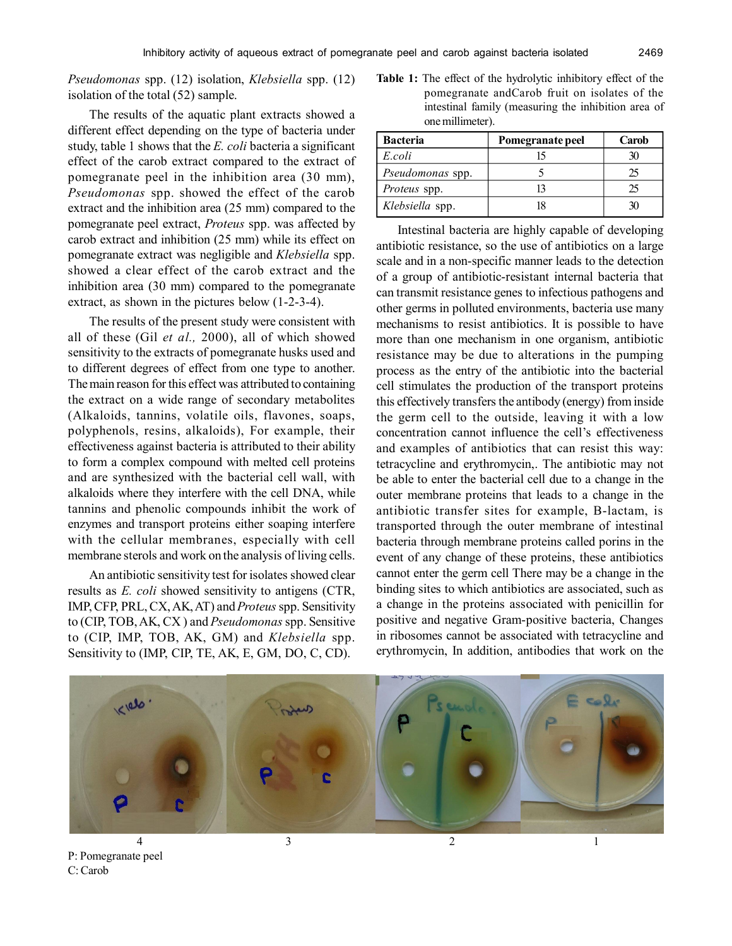*Pseudomonas* spp. (12) isolation, *Klebsiella* spp. (12) isolation of the total (52) sample.

The results of the aquatic plant extracts showed a different effect depending on the type of bacteria under study, table 1 shows that the *E. coli* bacteria a significant effect of the carob extract compared to the extract of pomegranate peel in the inhibition area (30 mm), *Pseudomonas* spp. showed the effect of the carob extract and the inhibition area (25 mm) compared to the pomegranate peel extract, *Proteus* spp. was affected by carob extract and inhibition (25 mm) while its effect on pomegranate extract was negligible and *Klebsiella* spp. showed a clear effect of the carob extract and the inhibition area (30 mm) compared to the pomegranate extract, as shown in the pictures below (1-2-3-4).

The results of the present study were consistent with all of these (Gil *et al.,* 2000), all of which showed sensitivity to the extracts of pomegranate husks used and to different degrees of effect from one type to another. The main reason for this effect was attributed to containing the extract on a wide range of secondary metabolites (Alkaloids, tannins, volatile oils, flavones, soaps, polyphenols, resins, alkaloids), For example, their effectiveness against bacteria is attributed to their ability to form a complex compound with melted cell proteins and are synthesized with the bacterial cell wall, with alkaloids where they interfere with the cell DNA, while tannins and phenolic compounds inhibit the work of enzymes and transport proteins either soaping interfere with the cellular membranes, especially with cell membrane sterols and work on the analysis of living cells.

An antibiotic sensitivity test for isolates showed clear results as *E. coli* showed sensitivity to antigens (CTR, IMP, CFP, PRL, CX, AK, AT) and *Proteus* spp. Sensitivity to (CIP, TOB, AK, CX ) and *Pseudomonas* spp. Sensitive to (CIP, IMP, TOB, AK, GM) and *Klebsiella* spp. Sensitivity to (IMP, CIP, TE, AK, E, GM, DO, C, CD).

**Table 1:** The effect of the hydrolytic inhibitory effect of the pomegranate andCarob fruit on isolates of the intestinal family (measuring the inhibition area of one millimeter).

| <b>Bacteria</b>  | Pomegranate peel | Carob |
|------------------|------------------|-------|
| E.coli           |                  |       |
| Pseudomonas spp. |                  |       |
| Proteus spp.     |                  |       |
| Klebsiella spp.  |                  |       |

Intestinal bacteria are highly capable of developing antibiotic resistance, so the use of antibiotics on a large scale and in a non-specific manner leads to the detection of a group of antibiotic-resistant internal bacteria that can transmit resistance genes to infectious pathogens and other germs in polluted environments, bacteria use many mechanisms to resist antibiotics. It is possible to have more than one mechanism in one organism, antibiotic resistance may be due to alterations in the pumping process as the entry of the antibiotic into the bacterial cell stimulates the production of the transport proteins this effectively transfers the antibody (energy) from inside the germ cell to the outside, leaving it with a low concentration cannot influence the cell's effectiveness and examples of antibiotics that can resist this way: tetracycline and erythromycin,. The antibiotic may not be able to enter the bacterial cell due to a change in the outer membrane proteins that leads to a change in the antibiotic transfer sites for example, B-lactam, is transported through the outer membrane of intestinal bacteria through membrane proteins called porins in the event of any change of these proteins, these antibiotics cannot enter the germ cell There may be a change in the binding sites to which antibiotics are associated, such as a change in the proteins associated with penicillin for positive and negative Gram-positive bacteria, Changes in ribosomes cannot be associated with tetracycline and erythromycin, In addition, antibodies that work on the



P: Pomegranate peel C: Carob